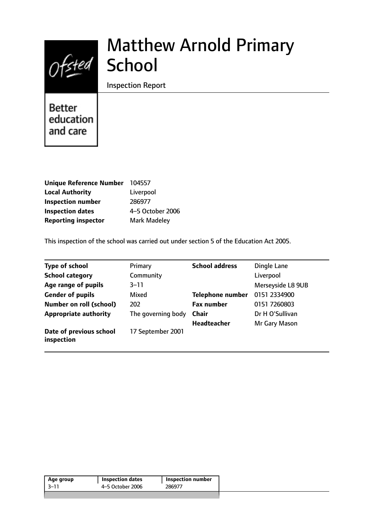

# Matthew Arnold Primary **School**

Inspection Report

**Better** education and care

| <b>Unique Reference Number</b> | 104557           |
|--------------------------------|------------------|
| <b>Local Authority</b>         | Liverpool        |
| <b>Inspection number</b>       | 286977           |
| <b>Inspection dates</b>        | 4-5 October 2006 |
| <b>Reporting inspector</b>     | Mark Madeley     |

This inspection of the school was carried out under section 5 of the Education Act 2005.

| <b>Type of school</b>                 | Primary            | <b>School address</b>   | Dingle Lane       |
|---------------------------------------|--------------------|-------------------------|-------------------|
| <b>School category</b>                | Community          |                         | Liverpool         |
| Age range of pupils                   | $3 - 11$           |                         | Merseyside L8 9UB |
| <b>Gender of pupils</b>               | Mixed              | <b>Telephone number</b> | 0151 2334900      |
| <b>Number on roll (school)</b>        | 202                | <b>Fax number</b>       | 0151 7260803      |
| <b>Appropriate authority</b>          | The governing body | <b>Chair</b>            | Dr H O'Sullivan   |
|                                       |                    | <b>Headteacher</b>      | Mr Gary Mason     |
| Date of previous school<br>inspection | 17 September 2001  |                         |                   |

| 4–5 October 2006<br>286977<br>3–11 | Age group | <b>Inspection dates</b> | <b>Inspection number</b> |  |
|------------------------------------|-----------|-------------------------|--------------------------|--|
|                                    |           |                         |                          |  |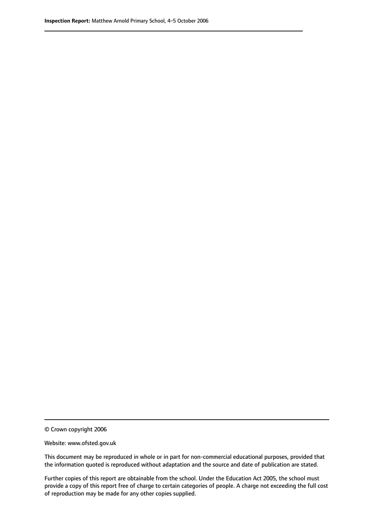© Crown copyright 2006

Website: www.ofsted.gov.uk

This document may be reproduced in whole or in part for non-commercial educational purposes, provided that the information quoted is reproduced without adaptation and the source and date of publication are stated.

Further copies of this report are obtainable from the school. Under the Education Act 2005, the school must provide a copy of this report free of charge to certain categories of people. A charge not exceeding the full cost of reproduction may be made for any other copies supplied.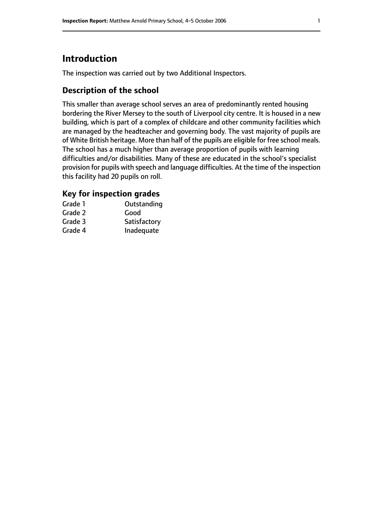# **Introduction**

The inspection was carried out by two Additional Inspectors.

# **Description of the school**

This smaller than average school serves an area of predominantly rented housing bordering the River Mersey to the south of Liverpool city centre. It is housed in a new building, which is part of a complex of childcare and other community facilities which are managed by the headteacher and governing body. The vast majority of pupils are of White British heritage. More than half of the pupils are eligible for free school meals. The school has a much higher than average proportion of pupils with learning difficulties and/or disabilities. Many of these are educated in the school's specialist provision for pupils with speech and language difficulties. At the time of the inspection this facility had 20 pupils on roll.

## **Key for inspection grades**

| Grade 1 | Outstanding  |
|---------|--------------|
| Grade 2 | Good         |
| Grade 3 | Satisfactory |
| Grade 4 | Inadequate   |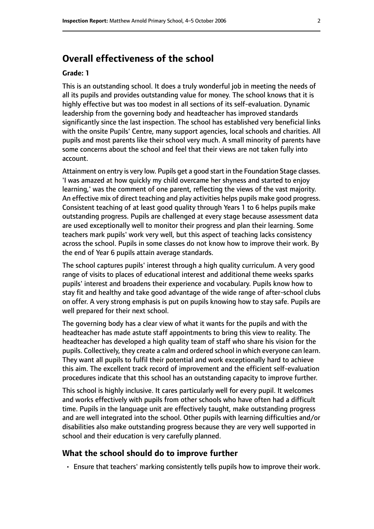# **Overall effectiveness of the school**

#### **Grade: 1**

This is an outstanding school. It does a truly wonderful job in meeting the needs of all its pupils and provides outstanding value for money. The school knows that it is highly effective but was too modest in all sections of its self-evaluation. Dynamic leadership from the governing body and headteacher has improved standards significantly since the last inspection. The school has established very beneficial links with the onsite Pupils' Centre, many support agencies, local schools and charities. All pupils and most parents like their school very much. A small minority of parents have some concerns about the school and feel that their views are not taken fully into account.

Attainment on entry is very low. Pupils get a good start in the Foundation Stage classes. 'I was amazed at how quickly my child overcame her shyness and started to enjoy learning,' was the comment of one parent, reflecting the views of the vast majority. An effective mix of direct teaching and play activities helps pupils make good progress. Consistent teaching of at least good quality through Years 1 to 6 helps pupils make outstanding progress. Pupils are challenged at every stage because assessment data are used exceptionally well to monitor their progress and plan their learning. Some teachers mark pupils' work very well, but this aspect of teaching lacks consistency across the school. Pupils in some classes do not know how to improve their work. By the end of Year 6 pupils attain average standards.

The school captures pupils' interest through a high quality curriculum. A very good range of visits to places of educational interest and additional theme weeks sparks pupils' interest and broadens their experience and vocabulary. Pupils know how to stay fit and healthy and take good advantage of the wide range of after-school clubs on offer. A very strong emphasis is put on pupils knowing how to stay safe. Pupils are well prepared for their next school.

The governing body has a clear view of what it wants for the pupils and with the headteacher has made astute staff appointments to bring this view to reality. The headteacher has developed a high quality team of staff who share his vision for the pupils. Collectively, they create a calm and ordered school in which everyone can learn. They want all pupils to fulfil their potential and work exceptionally hard to achieve this aim. The excellent track record of improvement and the efficient self-evaluation procedures indicate that this school has an outstanding capacity to improve further.

This school is highly inclusive. It cares particularly well for every pupil. It welcomes and works effectively with pupils from other schools who have often had a difficult time. Pupils in the language unit are effectively taught, make outstanding progress and are well integrated into the school. Other pupils with learning difficulties and/or disabilities also make outstanding progress because they are very well supported in school and their education is very carefully planned.

#### **What the school should do to improve further**

• Ensure that teachers' marking consistently tells pupils how to improve their work.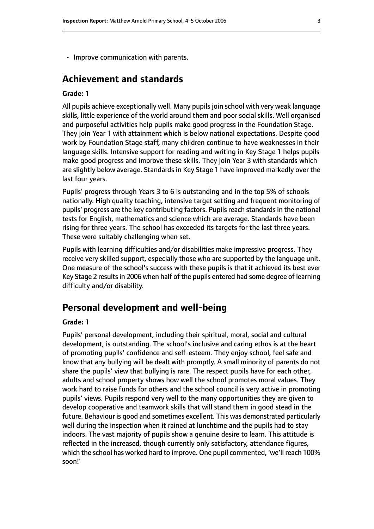• Improve communication with parents.

# **Achievement and standards**

#### **Grade: 1**

All pupils achieve exceptionally well. Many pupils join school with very weak language skills, little experience of the world around them and poor social skills. Well organised and purposeful activities help pupils make good progress in the Foundation Stage. They join Year 1 with attainment which is below national expectations. Despite good work by Foundation Stage staff, many children continue to have weaknesses in their language skills. Intensive support for reading and writing in Key Stage 1 helps pupils make good progress and improve these skills. They join Year 3 with standards which are slightly below average. Standards in Key Stage 1 have improved markedly over the last four years.

Pupils' progress through Years 3 to 6 is outstanding and in the top 5% of schools nationally. High quality teaching, intensive target setting and frequent monitoring of pupils' progress are the key contributing factors. Pupils reach standards in the national tests for English, mathematics and science which are average. Standards have been rising for three years. The school has exceeded its targets for the last three years. These were suitably challenging when set.

Pupils with learning difficulties and/or disabilities make impressive progress. They receive very skilled support, especially those who are supported by the language unit. One measure of the school's success with these pupils is that it achieved its best ever Key Stage 2 results in 2006 when half of the pupils entered had some degree of learning difficulty and/or disability.

# **Personal development and well-being**

#### **Grade: 1**

Pupils' personal development, including their spiritual, moral, social and cultural development, is outstanding. The school's inclusive and caring ethos is at the heart of promoting pupils' confidence and self-esteem. They enjoy school, feel safe and know that any bullying will be dealt with promptly. A small minority of parents do not share the pupils' view that bullying is rare. The respect pupils have for each other, adults and school property shows how well the school promotes moral values. They work hard to raise funds for others and the school council is very active in promoting pupils' views. Pupils respond very well to the many opportunities they are given to develop cooperative and teamwork skills that will stand them in good stead in the future. Behaviour is good and sometimes excellent. This was demonstrated particularly well during the inspection when it rained at lunchtime and the pupils had to stay indoors. The vast majority of pupils show a genuine desire to learn. This attitude is reflected in the increased, though currently only satisfactory, attendance figures, which the school has worked hard to improve. One pupil commented, 'we'll reach 100% soon!'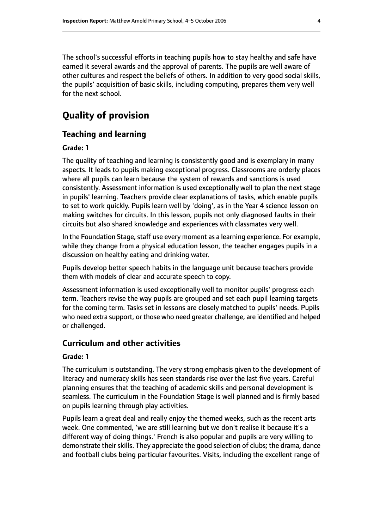The school's successful efforts in teaching pupils how to stay healthy and safe have earned it several awards and the approval of parents. The pupils are well aware of other cultures and respect the beliefs of others. In addition to very good social skills, the pupils' acquisition of basic skills, including computing, prepares them very well for the next school.

# **Quality of provision**

## **Teaching and learning**

#### **Grade: 1**

The quality of teaching and learning is consistently good and is exemplary in many aspects. It leads to pupils making exceptional progress. Classrooms are orderly places where all pupils can learn because the system of rewards and sanctions is used consistently. Assessment information is used exceptionally well to plan the next stage in pupils' learning. Teachers provide clear explanations of tasks, which enable pupils to set to work quickly. Pupils learn well by 'doing', as in the Year 4 science lesson on making switches for circuits. In this lesson, pupils not only diagnosed faults in their circuits but also shared knowledge and experiences with classmates very well.

In the Foundation Stage, staff use every moment as a learning experience. For example, while they change from a physical education lesson, the teacher engages pupils in a discussion on healthy eating and drinking water.

Pupils develop better speech habits in the language unit because teachers provide them with models of clear and accurate speech to copy.

Assessment information is used exceptionally well to monitor pupils' progress each term. Teachers revise the way pupils are grouped and set each pupil learning targets for the coming term. Tasks set in lessons are closely matched to pupils' needs. Pupils who need extra support, or those who need greater challenge, are identified and helped or challenged.

#### **Curriculum and other activities**

#### **Grade: 1**

The curriculum is outstanding. The very strong emphasis given to the development of literacy and numeracy skills has seen standards rise over the last five years. Careful planning ensures that the teaching of academic skills and personal development is seamless. The curriculum in the Foundation Stage is well planned and is firmly based on pupils learning through play activities.

Pupils learn a great deal and really enjoy the themed weeks, such as the recent arts week. One commented, 'we are still learning but we don't realise it because it's a different way of doing things.' French is also popular and pupils are very willing to demonstrate their skills. They appreciate the good selection of clubs; the drama, dance and football clubs being particular favourites. Visits, including the excellent range of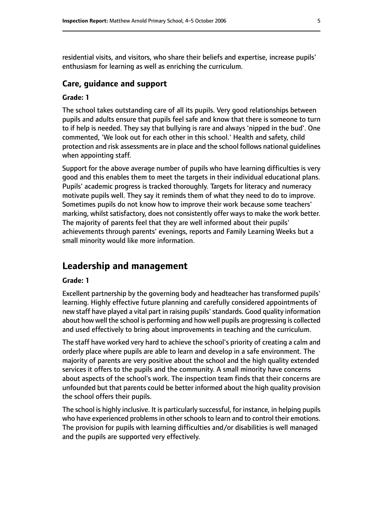residential visits, and visitors, who share their beliefs and expertise, increase pupils' enthusiasm for learning as well as enriching the curriculum.

#### **Care, guidance and support**

#### **Grade: 1**

The school takes outstanding care of all its pupils. Very good relationships between pupils and adults ensure that pupils feel safe and know that there is someone to turn to if help is needed. They say that bullying is rare and always 'nipped in the bud'. One commented, 'We look out for each other in this school.' Health and safety, child protection and risk assessments are in place and the school follows national guidelines when appointing staff.

Support for the above average number of pupils who have learning difficulties is very good and this enables them to meet the targets in their individual educational plans. Pupils' academic progress is tracked thoroughly. Targets for literacy and numeracy motivate pupils well. They say it reminds them of what they need to do to improve. Sometimes pupils do not know how to improve their work because some teachers' marking, whilst satisfactory, does not consistently offer ways to make the work better. The majority of parents feel that they are well informed about their pupils' achievements through parents' evenings, reports and Family Learning Weeks but a small minority would like more information.

### **Leadership and management**

#### **Grade: 1**

Excellent partnership by the governing body and headteacher has transformed pupils' learning. Highly effective future planning and carefully considered appointments of new staff have played a vital part in raising pupils' standards. Good quality information about how well the school is performing and how well pupils are progressing is collected and used effectively to bring about improvements in teaching and the curriculum.

The staff have worked very hard to achieve the school's priority of creating a calm and orderly place where pupils are able to learn and develop in a safe environment. The majority of parents are very positive about the school and the high quality extended services it offers to the pupils and the community. A small minority have concerns about aspects of the school's work. The inspection team finds that their concerns are unfounded but that parents could be better informed about the high quality provision the school offers their pupils.

The school is highly inclusive. It is particularly successful, for instance, in helping pupils who have experienced problems in other schools to learn and to control their emotions. The provision for pupils with learning difficulties and/or disabilities is well managed and the pupils are supported very effectively.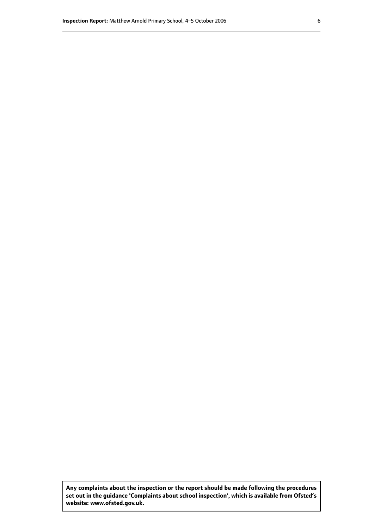**Any complaints about the inspection or the report should be made following the procedures set out inthe guidance 'Complaints about school inspection', whichis available from Ofsted's website: www.ofsted.gov.uk.**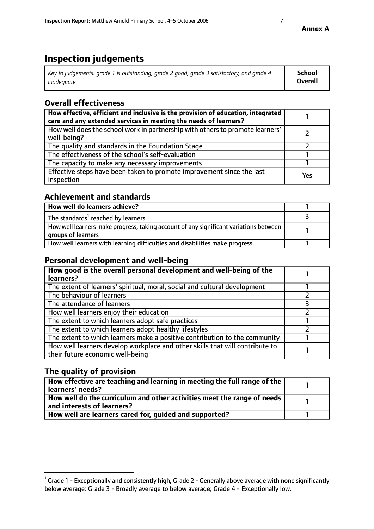# **Inspection judgements**

| Key to judgements: grade 1 is outstanding, grade 2 good, grade 3 satisfactory, and grade 4 | School  |
|--------------------------------------------------------------------------------------------|---------|
| inadeauate                                                                                 | Overall |

# **Overall effectiveness**

| How effective, efficient and inclusive is the provision of education, integrated<br>care and any extended services in meeting the needs of learners? |     |
|------------------------------------------------------------------------------------------------------------------------------------------------------|-----|
| How well does the school work in partnership with others to promote learners'<br>well-being?                                                         |     |
| The quality and standards in the Foundation Stage                                                                                                    |     |
| The effectiveness of the school's self-evaluation                                                                                                    |     |
| The capacity to make any necessary improvements                                                                                                      |     |
| Effective steps have been taken to promote improvement since the last<br>inspection                                                                  | Yes |

# **Achievement and standards**

| How well do learners achieve?                                                                               |  |
|-------------------------------------------------------------------------------------------------------------|--|
| The standards <sup>1</sup> reached by learners                                                              |  |
| How well learners make progress, taking account of any significant variations between<br>groups of learners |  |
| How well learners with learning difficulties and disabilities make progress                                 |  |

# **Personal development and well-being**

| How good is the overall personal development and well-being of the<br>learners?                                  |  |
|------------------------------------------------------------------------------------------------------------------|--|
| The extent of learners' spiritual, moral, social and cultural development                                        |  |
| The behaviour of learners                                                                                        |  |
| The attendance of learners                                                                                       |  |
| How well learners enjoy their education                                                                          |  |
| The extent to which learners adopt safe practices                                                                |  |
| The extent to which learners adopt healthy lifestyles                                                            |  |
| The extent to which learners make a positive contribution to the community                                       |  |
| How well learners develop workplace and other skills that will contribute to<br>their future economic well-being |  |

# **The quality of provision**

| How effective are teaching and learning in meeting the full range of the<br>  learners' needs?                      |  |
|---------------------------------------------------------------------------------------------------------------------|--|
| $\mid$ How well do the curriculum and other activities meet the range of needs<br>$\mid$ and interests of learners? |  |
| How well are learners cared for, guided and supported?                                                              |  |

 $^1$  Grade 1 - Exceptionally and consistently high; Grade 2 - Generally above average with none significantly below average; Grade 3 - Broadly average to below average; Grade 4 - Exceptionally low.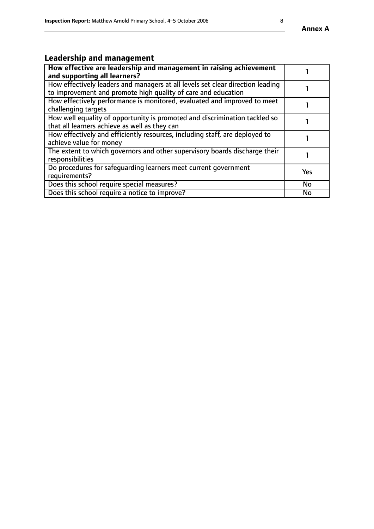#### **Annex A**

# **Leadership and management**

| How effective are leadership and management in raising achievement<br>and supporting all learners?                                              |           |
|-------------------------------------------------------------------------------------------------------------------------------------------------|-----------|
| How effectively leaders and managers at all levels set clear direction leading<br>to improvement and promote high quality of care and education |           |
| How effectively performance is monitored, evaluated and improved to meet<br>challenging targets                                                 |           |
| How well equality of opportunity is promoted and discrimination tackled so<br>that all learners achieve as well as they can                     |           |
| How effectively and efficiently resources, including staff, are deployed to<br>achieve value for money                                          |           |
| The extent to which governors and other supervisory boards discharge their<br>responsibilities                                                  |           |
| Do procedures for safequarding learners meet current government<br>requirements?                                                                | Yes       |
| Does this school require special measures?                                                                                                      | <b>No</b> |
| Does this school require a notice to improve?                                                                                                   | <b>No</b> |